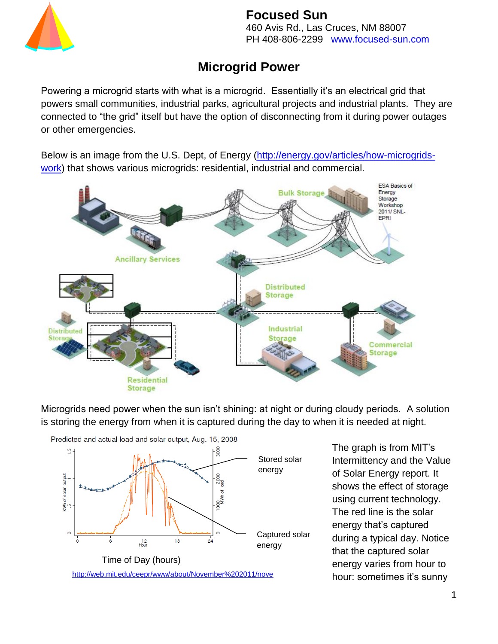

460 Avis Rd., Las Cruces, NM 88007 PH 408-806-2299 www.focused-sun.com

# **Microgrid Power**

Powering a microgrid starts with what is a microgrid. Essentially it's an electrical grid that powers small communities, industrial parks, agricultural projects and industrial plants. They are connected to "the grid" itself but have the option of disconnecting from it during power outages or other emergencies.

Below is an image from the U.S. Dept, of Energy [\(http://energy.gov/articles/how-microgrids](http://energy.gov/articles/how-microgrids-work)[work\)](http://energy.gov/articles/how-microgrids-work) that shows various microgrids: residential, industrial and commercial.



Microgrids need power when the sun isn't shining: at night or during cloudy periods. A solution is storing the energy from when it is captured during the day to when it is needed at night.



The graph is from MIT's Intermittency and the Value of Solar Energy report. It shows the effect of storage using current technology. The red line is the solar energy that's captured during a typical day. Notice that the captured solar energy varies from hour to hour: sometimes it's sunny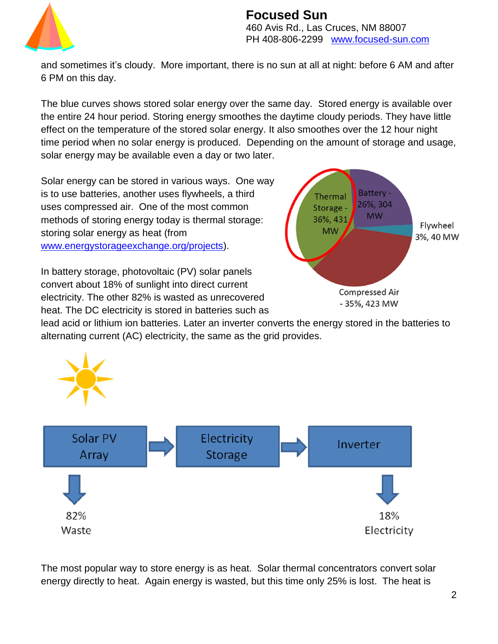

#### **Focused Sun** 460 Avis Rd., Las Cruces, NM 88007 PH 408-806-2299 www.focused-sun.com

and sometimes it's cloudy. More important, there is no sun at all at night: before 6 AM and after 6 PM on this day.

The blue curves shows stored solar energy over the same day. Stored energy is available over the entire 24 hour period. Storing energy smoothes the daytime cloudy periods. They have little effect on the temperature of the stored solar energy. It also smoothes over the 12 hour night time period when no solar energy is produced. Depending on the amount of storage and usage, solar energy may be available even a day or two later.

Solar energy can be stored in various ways. One way is to use batteries, another uses flywheels, a third uses compressed air. One of the most common methods of storing energy today is thermal storage: storing solar energy as heat (from [www.energystorageexchange.org/projects\)](http://www.energystorageexchange.org/projects).

In battery storage, photovoltaic (PV) solar panels convert about 18% of sunlight into direct current electricity. The other 82% is wasted as unrecovered heat. The DC electricity is stored in batteries such as



lead acid or lithium ion batteries. Later an inverter converts the energy stored in the batteries to alternating current (AC) electricity, the same as the grid provides.



The most popular way to store energy is as heat. Solar thermal concentrators convert solar energy directly to heat. Again energy is wasted, but this time only 25% is lost. The heat is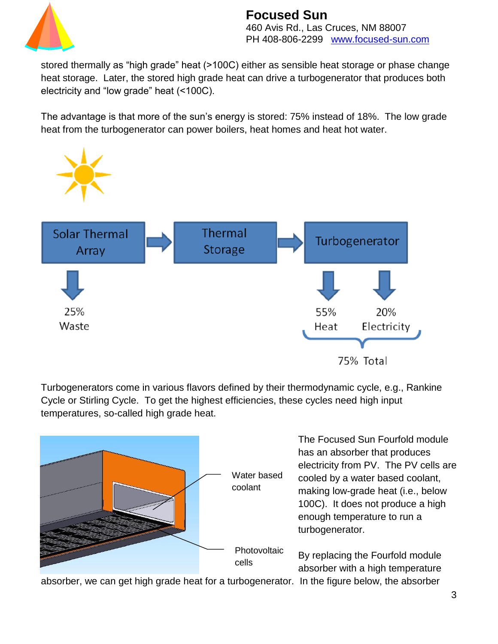

460 Avis Rd., Las Cruces, NM 88007 PH 408-806-2299 www.focused-sun.com

stored thermally as "high grade" heat (>100C) either as sensible heat storage or phase change heat storage. Later, the stored high grade heat can drive a turbogenerator that produces both electricity and "low grade" heat (<100C).

The advantage is that more of the sun's energy is stored: 75% instead of 18%. The low grade heat from the turbogenerator can power boilers, heat homes and heat hot water.



Turbogenerators come in various flavors defined by their thermodynamic cycle, e.g., Rankine Cycle or Stirling Cycle. To get the highest efficiencies, these cycles need high input temperatures, so-called high grade heat.



The Focused Sun Fourfold module has an absorber that produces electricity from PV. The PV cells are cooled by a water based coolant, making low-grade heat (i.e., below 100C). It does not produce a high enough temperature to run a turbogenerator.

By replacing the Fourfold module absorber with a high temperature

absorber, we can get high grade heat for a turbogenerator. In the figure below, the absorber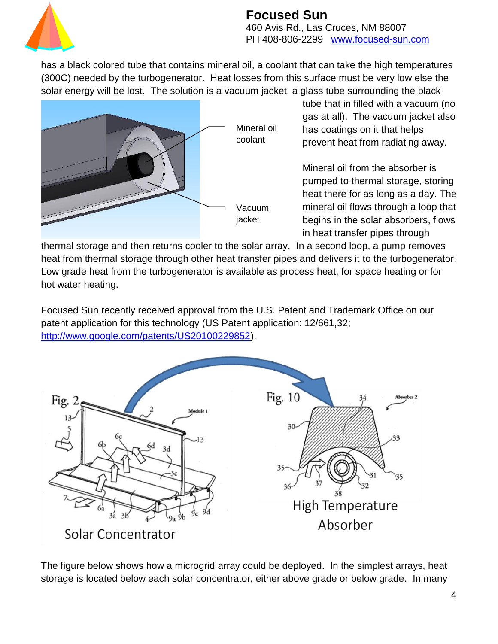

460 Avis Rd., Las Cruces, NM 88007 PH 408-806-2299 www.focused-sun.com

has a black colored tube that contains mineral oil, a coolant that can take the high temperatures (300C) needed by the turbogenerator. Heat losses from this surface must be very low else the solar energy will be lost. The solution is a vacuum jacket, a glass tube surrounding the black



tube that in filled with a vacuum (no gas at all). The vacuum jacket also has coatings on it that helps prevent heat from radiating away.

Mineral oil from the absorber is pumped to thermal storage, storing heat there for as long as a day. The mineral oil flows through a loop that begins in the solar absorbers, flows in heat transfer pipes through

thermal storage and then returns cooler to the solar array. In a second loop, a pump removes heat from thermal storage through other heat transfer pipes and delivers it to the turbogenerator. Low grade heat from the turbogenerator is available as process heat, for space heating or for hot water heating.

Focused Sun recently received approval from the U.S. Patent and Trademark Office on our patent application for this technology (US Patent application: 12/661,32; [http://www.google.com/patents/US20100229852\)](http://www.google.com/patents/US20100229852).



The figure below shows how a microgrid array could be deployed. In the simplest arrays, heat storage is located below each solar concentrator, either above grade or below grade. In many